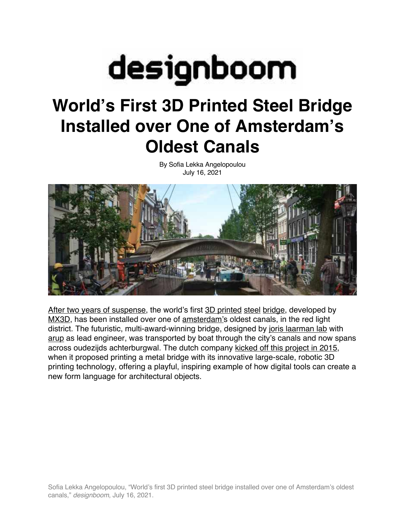

## **World's First 3D Printed Steel Bridge Installed over One of Amsterdam's Oldest Canals**

By Sofia Lekka Angelopoulou July 16, 2021



After two years of suspense, the world's first 3D printed steel bridge, developed by MX3D, has been installed over one of amsterdam's oldest canals, in the red light district. The futuristic, multi-award-winning bridge, designed by joris laarman lab with arup as lead engineer, was transported by boat through the city's canals and now spans across oudezijds achterburgwal. The dutch company kicked off this project in 2015, when it proposed printing a metal bridge with its innovative large-scale, robotic 3D printing technology, offering a playful, inspiring example of how digital tools can create a new form language for architectural objects.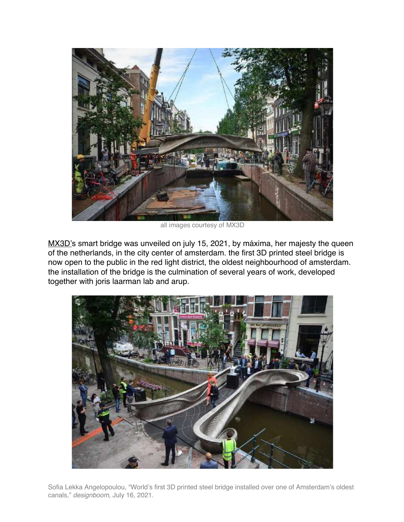![](_page_1_Picture_0.jpeg)

all images courtesy of MX3D

MX3D's smart bridge was unveiled on july 15, 2021, by máxima, her majesty the queen of the netherlands, in the city center of amsterdam. the first 3D printed steel bridge is now open to the public in the red light district, the oldest neighbourhood of amsterdam. the installation of the bridge is the culmination of several years of work, developed together with joris laarman lab and arup.

![](_page_1_Picture_3.jpeg)

Sofia Lekka Angelopoulou, "World's first 3D printed steel bridge installed over one of Amsterdam's oldest canals," *designboom*, July 16, 2021.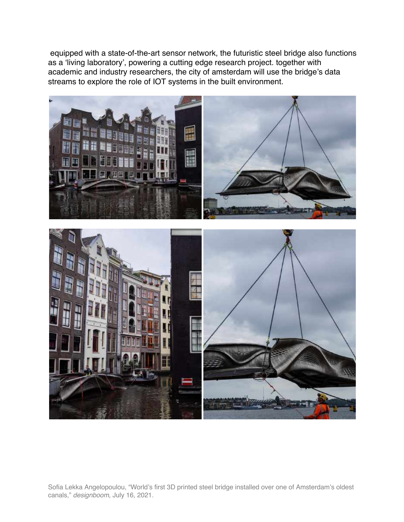equipped with a state-of-the-art sensor network, the futuristic steel bridge also functions as a 'living laboratory', powering a cutting edge research project. together with academic and industry researchers, the city of amsterdam will use the bridge's data streams to explore the role of IOT systems in the built environment.

![](_page_2_Picture_1.jpeg)

Sofia Lekka Angelopoulou, "World's first 3D printed steel bridge installed over one of Amsterdam's oldest canals," *designboom*, July 16, 2021.